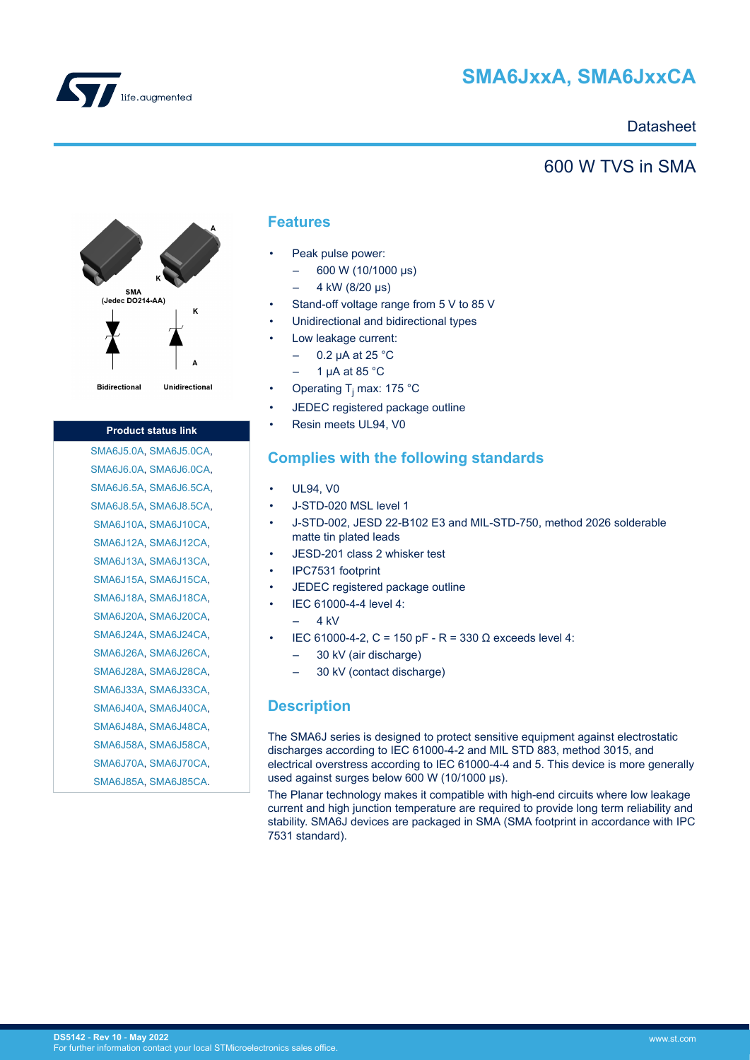

# **SMA6JxxA, SMA6JxxCA**

# **Datasheet**

# 600 W TVS in SMA



#### **Product status link**

[SMA6J5.0A](https://www.st.com/en/product/sma6j5-0a?ecmp=tt9470_gl_link_feb2019&rt=ds&id=DS5142), [SMA6J5.0CA,](https://www.st.com/en/product/sma6j5-0ca?ecmp=tt9470_gl_link_feb2019&rt=ds&id=DS5142) [SMA6J6.0A](https://www.st.com/en/product/sma6j6-0a?ecmp=tt9470_gl_link_feb2019&rt=ds&id=DS5142), [SMA6J6.0CA,](https://www.st.com/en/product/sma6j6-0ca?ecmp=tt9470_gl_link_feb2019&rt=ds&id=DS5142) [SMA6J6.5A](https://www.st.com/en/product/sma6j6-5a?ecmp=tt9470_gl_link_feb2019&rt=ds&id=DS5142), [SMA6J6.5CA,](https://www.st.com/en/product/sma6j6-5ca?ecmp=tt9470_gl_link_feb2019&rt=ds&id=DS5142) [SMA6J8.5A](https://www.st.com/en/product/sma6j8-5a?ecmp=tt9470_gl_link_feb2019&rt=ds&id=DS5142), [SMA6J8.5CA,](https://www.st.com/en/product/sma6j8-5ca?ecmp=tt9470_gl_link_feb2019&rt=ds&id=DS5142) [SMA6J10A](https://www.st.com/en/product/sma6j10a?ecmp=tt9470_gl_link_feb2019&rt=ds&id=DS5142), [SMA6J10CA](https://www.st.com/en/product/sma6j10ca?ecmp=tt9470_gl_link_feb2019&rt=ds&id=DS5142), [SMA6J12A](https://www.st.com/en/product/sma6j12a?ecmp=tt9470_gl_link_feb2019&rt=ds&id=DS5142), [SMA6J12CA](https://www.st.com/en/product/sma6j12ca?ecmp=tt9470_gl_link_feb2019&rt=ds&id=DS5142), [SMA6J13A](https://www.st.com/en/product/sma6j13a?ecmp=tt9470_gl_link_feb2019&rt=ds&id=DS5142), [SMA6J13CA](https://www.st.com/en/product/sma6j13ca?ecmp=tt9470_gl_link_feb2019&rt=ds&id=DS5142), [SMA6J15A](https://www.st.com/en/product/sma6j15a?ecmp=tt9470_gl_link_feb2019&rt=ds&id=DS5142), [SMA6J15CA](https://www.st.com/en/product/sma6j15ca?ecmp=tt9470_gl_link_feb2019&rt=ds&id=DS5142), [SMA6J18A](https://www.st.com/en/product/sma6j18a?ecmp=tt9470_gl_link_feb2019&rt=ds&id=DS5142), [SMA6J18CA](https://www.st.com/en/product/sma6j18ca?ecmp=tt9470_gl_link_feb2019&rt=ds&id=DS5142), [SMA6J20A](https://www.st.com/en/product/sma6j20a?ecmp=tt9470_gl_link_feb2019&rt=ds&id=DS5142), [SMA6J20CA](https://www.st.com/en/product/sma6j20ca?ecmp=tt9470_gl_link_feb2019&rt=ds&id=DS5142), [SMA6J24A](https://www.st.com/en/product/sma6j24a?ecmp=tt9470_gl_link_feb2019&rt=ds&id=DS5142), [SMA6J24CA](https://www.st.com/en/product/sma6j24ca?ecmp=tt9470_gl_link_feb2019&rt=ds&id=DS5142), [SMA6J26A](https://www.st.com/en/product/sma6j26a?ecmp=tt9470_gl_link_feb2019&rt=ds&id=DS5142), [SMA6J26CA](https://www.st.com/en/product/sma6j26ca?ecmp=tt9470_gl_link_feb2019&rt=ds&id=DS5142), [SMA6J28A](https://www.st.com/en/product/sma6j28a?ecmp=tt9470_gl_link_feb2019&rt=ds&id=DS5142), [SMA6J28CA](https://www.st.com/en/product/sma6j28ca?ecmp=tt9470_gl_link_feb2019&rt=ds&id=DS5142), [SMA6J33A](https://www.st.com/en/product/sma6j33a?ecmp=tt9470_gl_link_feb2019&rt=ds&id=DS5142), [SMA6J33CA](https://www.st.com/en/product/sma6j33ca?ecmp=tt9470_gl_link_feb2019&rt=ds&id=DS5142), [SMA6J40A](https://www.st.com/en/product/sma6j40a?ecmp=tt9470_gl_link_feb2019&rt=ds&id=DS5142), [SMA6J40CA](https://www.st.com/en/product/sma6j40ca?ecmp=tt9470_gl_link_feb2019&rt=ds&id=DS5142), [SMA6J48A](https://www.st.com/en/product/sma6j48a?ecmp=tt9470_gl_link_feb2019&rt=ds&id=DS5142), [SMA6J48CA](https://www.st.com/en/product/sma6j48ca?ecmp=tt9470_gl_link_feb2019&rt=ds&id=DS5142), [SMA6J58A](https://www.st.com/en/product/sma6j58a?ecmp=tt9470_gl_link_feb2019&rt=ds&id=DS5142), [SMA6J58CA](https://www.st.com/en/product/sma6j58ca?ecmp=tt9470_gl_link_feb2019&rt=ds&id=DS5142), [SMA6J70A](https://www.st.com/en/product/sma6j70a?ecmp=tt9470_gl_link_feb2019&rt=ds&id=DS5142), [SMA6J70CA](https://www.st.com/en/product/sma6j70ca?ecmp=tt9470_gl_link_feb2019&rt=ds&id=DS5142), [SMA6J85A](https://www.st.com/en/product/sma6j85a?ecmp=tt9470_gl_link_feb2019&rt=ds&id=DS5142), [SMA6J85CA](https://www.st.com/en/product/sma6j85ca?ecmp=tt9470_gl_link_feb2019&rt=ds&id=DS5142).

### **Features**

- Peak pulse power:
	- 600 W (10/1000 μs)
	- 4 kW (8/20 μs)
- Stand-off voltage range from 5 V to 85 V
- Unidirectional and bidirectional types
- Low leakage current:
	- $-$  0.2 uA at 25 °C
	- 1 μA at 85 °C
- Operating T<sub>j</sub> max: 175 °C
- JEDEC registered package outline
- Resin meets UL94, V0

# **Complies with the following standards**

- UL94, V0
- J-STD-020 MSL level 1
- J-STD-002, JESD 22-B102 E3 and MIL-STD-750, method 2026 solderable matte tin plated leads
- JESD-201 class 2 whisker test
- IPC7531 footprint
- JEDEC registered package outline
- IEC 61000-4-4 level 4:
	- $4$  kV
- IEC 61000-4-2, C = 150 pF R = 330 Ω exceeds level 4:
	- 30 kV (air discharge)
	- 30 kV (contact discharge)

### **Description**

The SMA6J series is designed to protect sensitive equipment against electrostatic discharges according to IEC 61000-4-2 and MIL STD 883, method 3015, and electrical overstress according to IEC 61000-4-4 and 5. This device is more generally used against surges below 600 W (10/1000 μs).

The Planar technology makes it compatible with high-end circuits where low leakage current and high junction temperature are required to provide long term reliability and stability. SMA6J devices are packaged in SMA (SMA footprint in accordance with IPC 7531 standard).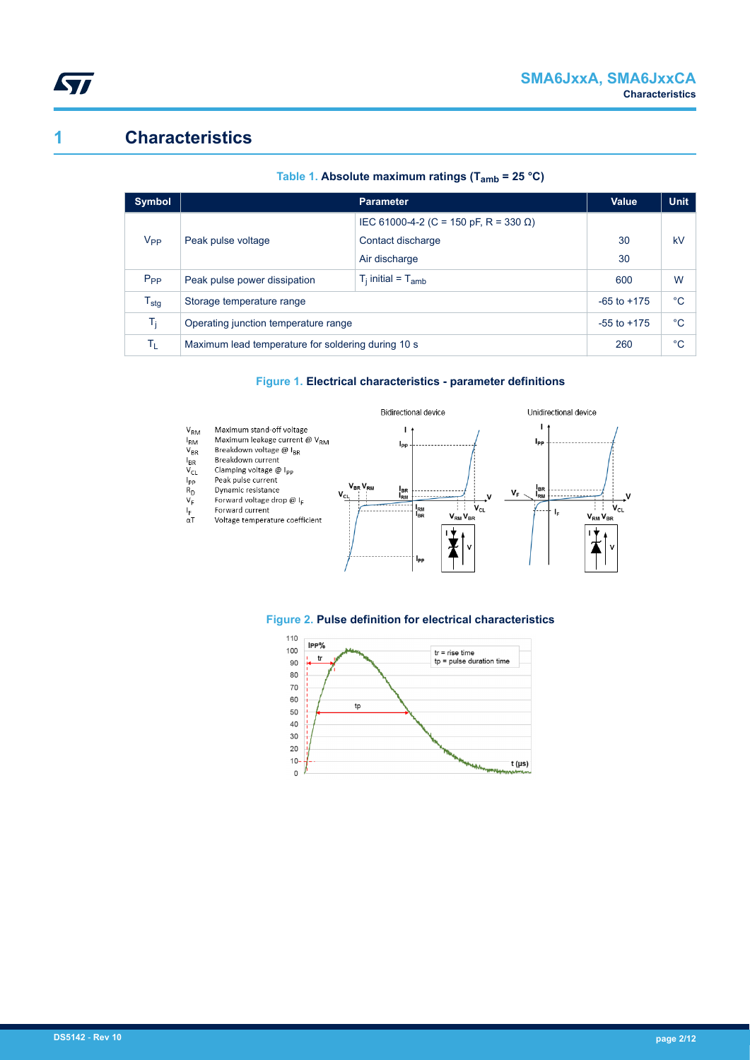

# **1 Characteristics**

| <b>Symbol</b>               |                                                    | <b>Parameter</b>                      | Value        | <b>Unit</b> |
|-----------------------------|----------------------------------------------------|---------------------------------------|--------------|-------------|
|                             |                                                    | IEC 61000-4-2 (C = 150 pF, R = 330 Ω) |              |             |
| V <sub>PP</sub>             | Peak pulse voltage                                 | Contact discharge                     | 30           | kV          |
|                             |                                                    | Air discharge                         | 30           |             |
| $P_{PP}$                    | Peak pulse power dissipation                       | 600                                   | W            |             |
| $\mathsf{T}_{\textsf{stg}}$ | Storage temperature range                          | $-65$ to $+175$                       | $^{\circ}$ C |             |
| $T_i$                       | Operating junction temperature range               | $-55$ to $+175$                       | $^{\circ}C$  |             |
| ΤL                          | Maximum lead temperature for soldering during 10 s | 260                                   | °C           |             |

#### **Table 1. Absolute maximum ratings (Tamb = 25 °C)**

### **Figure 1. Electrical characteristics - parameter definitions**



# **Figure 2. Pulse definition for electrical characteristics**

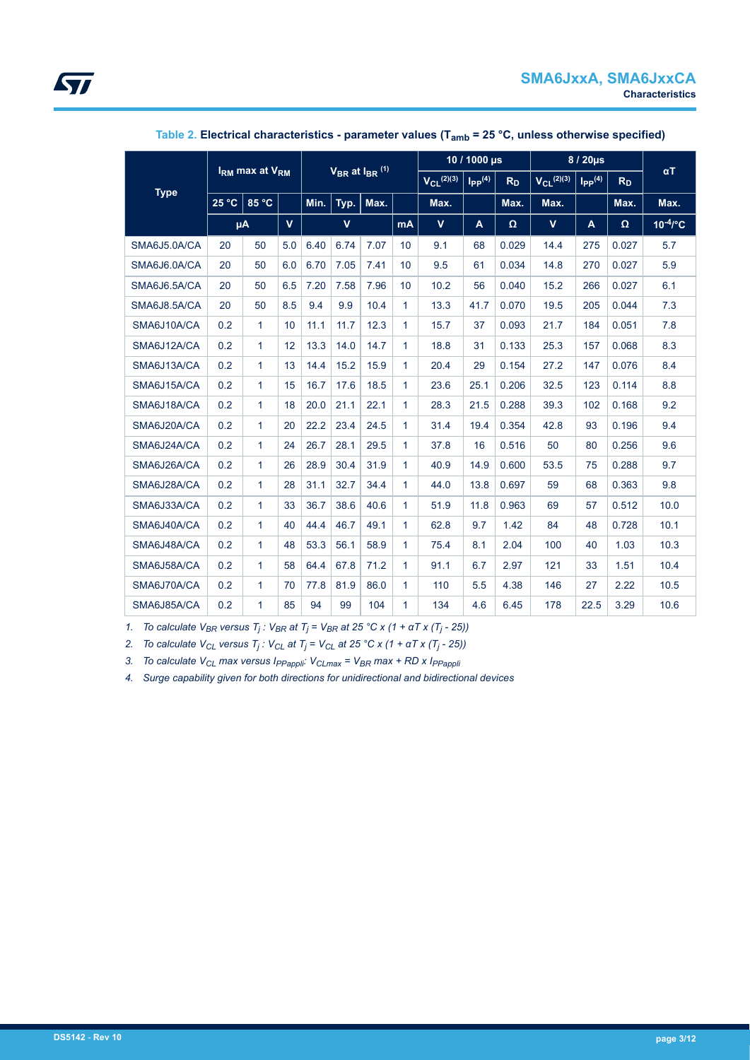|              | $V_{BR}$ at $I_{BR}$ <sup>(1)</sup><br>$IRM$ max at $VRM$ |              |     |              |      | 10 / 1000 µs |                 |                         | $8/20\mu s$    |                 |                         | $\alpha$ T     |               |      |
|--------------|-----------------------------------------------------------|--------------|-----|--------------|------|--------------|-----------------|-------------------------|----------------|-----------------|-------------------------|----------------|---------------|------|
|              |                                                           |              |     |              |      |              | $V_{CL}$ (2)(3) | $I_{PP}$ <sup>(4)</sup> | R <sub>D</sub> | $V_{CL}$ (2)(3) | $I_{PP}$ <sup>(4)</sup> | R <sub>D</sub> |               |      |
| <b>Type</b>  | 25 °C                                                     | 85 °C        |     | Min.         | Typ. | Max.         |                 | Max.                    |                | Max.            | Max.                    |                | Max.          | Max. |
|              | $\mathbf{V}$<br>μA                                        |              |     | $\mathbf{V}$ |      | mA           | $\mathbf v$     | A                       | Ω              | $\mathbf{V}$    | A                       | Ω              | $10^{-4}$ /°C |      |
| SMA6J5.0A/CA | 20                                                        | 50           | 5.0 | 6.40         | 6.74 | 7.07         | 10              | 9.1                     | 68             | 0.029           | 14.4                    | 275            | 0.027         | 5.7  |
| SMA6J6.0A/CA | 20                                                        | 50           | 6.0 | 6.70         | 7.05 | 7.41         | 10              | 9.5                     | 61             | 0.034           | 14.8                    | 270            | 0.027         | 5.9  |
| SMA6J6.5A/CA | 20                                                        | 50           | 6.5 | 7.20         | 7.58 | 7.96         | 10              | 10.2                    | 56             | 0.040           | 15.2                    | 266            | 0.027         | 6.1  |
| SMA6J8.5A/CA | 20                                                        | 50           | 8.5 | 9.4          | 9.9  | 10.4         | $\mathbf{1}$    | 13.3                    | 41.7           | 0.070           | 19.5                    | 205            | 0.044         | 7.3  |
| SMA6J10A/CA  | 0.2                                                       | 1            | 10  | 11.1         | 11.7 | 12.3         | $\mathbf{1}$    | 15.7                    | 37             | 0.093           | 21.7                    | 184            | 0.051         | 7.8  |
| SMA6J12A/CA  | 0.2                                                       | 1            | 12  | 13.3         | 14.0 | 14.7         | $\mathbf{1}$    | 18.8                    | 31             | 0.133           | 25.3                    | 157            | 0.068         | 8.3  |
| SMA6J13A/CA  | 0.2                                                       | 1            | 13  | 14.4         | 15.2 | 15.9         | 1               | 20.4                    | 29             | 0.154           | 27.2                    | 147            | 0.076         | 8.4  |
| SMA6J15A/CA  | 0.2                                                       | $\mathbf{1}$ | 15  | 16.7         | 17.6 | 18.5         | 1               | 23.6                    | 25.1           | 0.206           | 32.5                    | 123            | 0.114         | 8.8  |
| SMA6J18A/CA  | 0.2                                                       | $\mathbf{1}$ | 18  | 20.0         | 21.1 | 22.1         | $\mathbf{1}$    | 28.3                    | 21.5           | 0.288           | 39.3                    | 102            | 0.168         | 9.2  |
| SMA6J20A/CA  | 0.2                                                       | $\mathbf{1}$ | 20  | 22.2         | 23.4 | 24.5         | $\mathbf{1}$    | 31.4                    | 19.4           | 0.354           | 42.8                    | 93             | 0.196         | 9.4  |
| SMA6J24A/CA  | 0.2                                                       | $\mathbf{1}$ | 24  | 26.7         | 28.1 | 29.5         | $\mathbf{1}$    | 37.8                    | 16             | 0.516           | 50                      | 80             | 0.256         | 9.6  |
| SMA6J26A/CA  | 0.2                                                       | $\mathbf{1}$ | 26  | 28.9         | 30.4 | 31.9         | $\mathbf{1}$    | 40.9                    | 14.9           | 0.600           | 53.5                    | 75             | 0.288         | 9.7  |
| SMA6J28A/CA  | 0.2                                                       | $\mathbf{1}$ | 28  | 31.1         | 32.7 | 34.4         | $\mathbf{1}$    | 44.0                    | 13.8           | 0.697           | 59                      | 68             | 0.363         | 9.8  |
| SMA6J33A/CA  | 0.2                                                       | $\mathbf{1}$ | 33  | 36.7         | 38.6 | 40.6         | $\mathbf{1}$    | 51.9                    | 11.8           | 0.963           | 69                      | 57             | 0.512         | 10.0 |
| SMA6J40A/CA  | 0.2                                                       | $\mathbf{1}$ | 40  | 44.4         | 46.7 | 49.1         | $\mathbf{1}$    | 62.8                    | 9.7            | 1.42            | 84                      | 48             | 0.728         | 10.1 |
| SMA6J48A/CA  | 0.2                                                       | 1            | 48  | 53.3         | 56.1 | 58.9         | $\mathbf{1}$    | 75.4                    | 8.1            | 2.04            | 100                     | 40             | 1.03          | 10.3 |
| SMA6J58A/CA  | 0.2                                                       | $\mathbf{1}$ | 58  | 64.4         | 67.8 | 71.2         | 1               | 91.1                    | 6.7            | 2.97            | 121                     | 33             | 1.51          | 10.4 |
| SMA6J70A/CA  | 0.2                                                       | $\mathbf{1}$ | 70  | 77.8         | 81.9 | 86.0         | $\mathbf{1}$    | 110                     | 5.5            | 4.38            | 146                     | 27             | 2.22          | 10.5 |
| SMA6J85A/CA  | 0.2                                                       | $\mathbf{1}$ | 85  | 94           | 99   | 104          | $\mathbf{1}$    | 134                     | 4.6            | 6.45            | 178                     | 22.5           | 3.29          | 10.6 |

### **Table 2. Electrical characteristics - parameter values (Tamb = 25 °C, unless otherwise specified)**

*1. To calculate VBR versus T<sup>j</sup> : VBR at T<sup>j</sup> = VBR at 25 °C x (1 + αT x (T<sup>j</sup> - 25))*

*2. To calculate VCL versus T<sup>j</sup> : VCL at T<sup>j</sup> = VCL at 25 °C x (1 + αT x (T<sup>j</sup> - 25))*

*3. To calculate VCL max versus IPPappli: VCLmax = VBR max + RD x IPPappli*

*4. Surge capability given for both directions for unidirectional and bidirectional devices*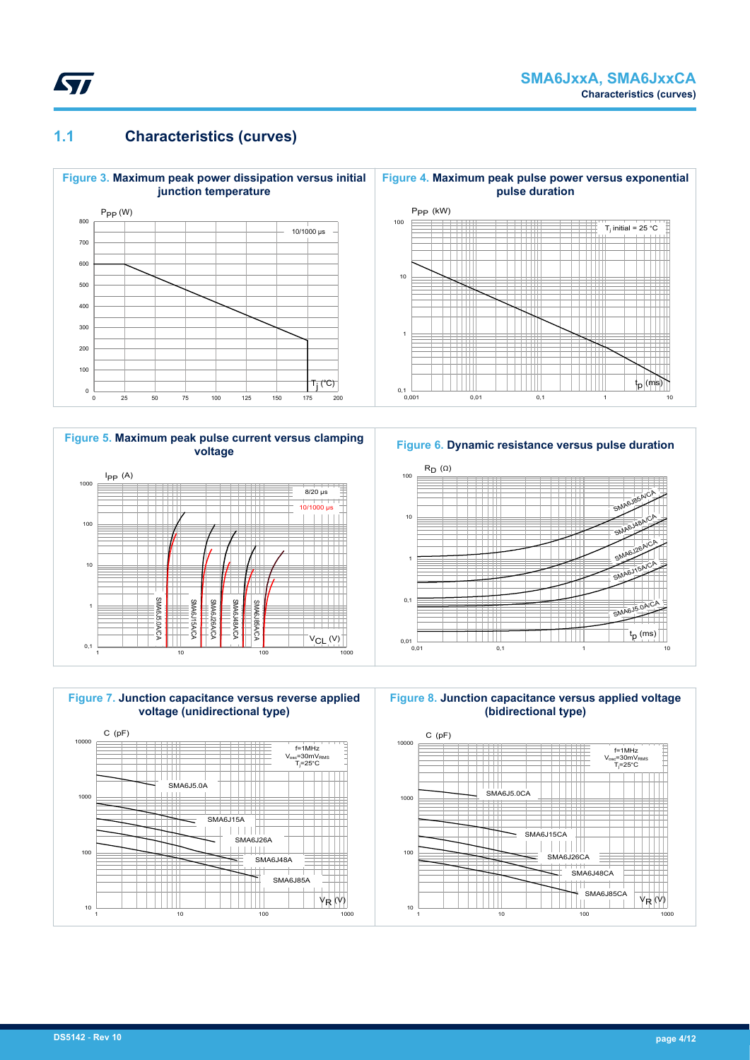

# **1.1 Characteristics (curves)**



**Figure 5. Maximum peak pulse current versus clamping voltage**



1 10 100 1000







**Figure 8. Junction capacitance versus applied voltage (bidirectional type)**

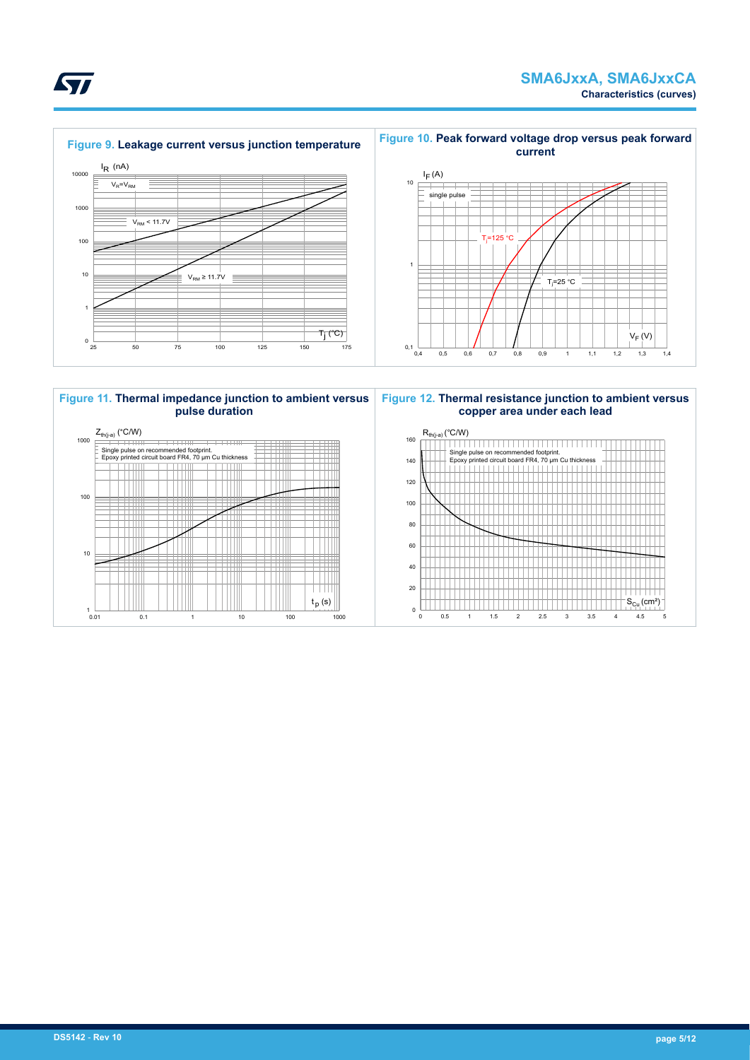$V_F(V)$ 





ST

**Figure 10. Peak forward voltage drop versus peak forward**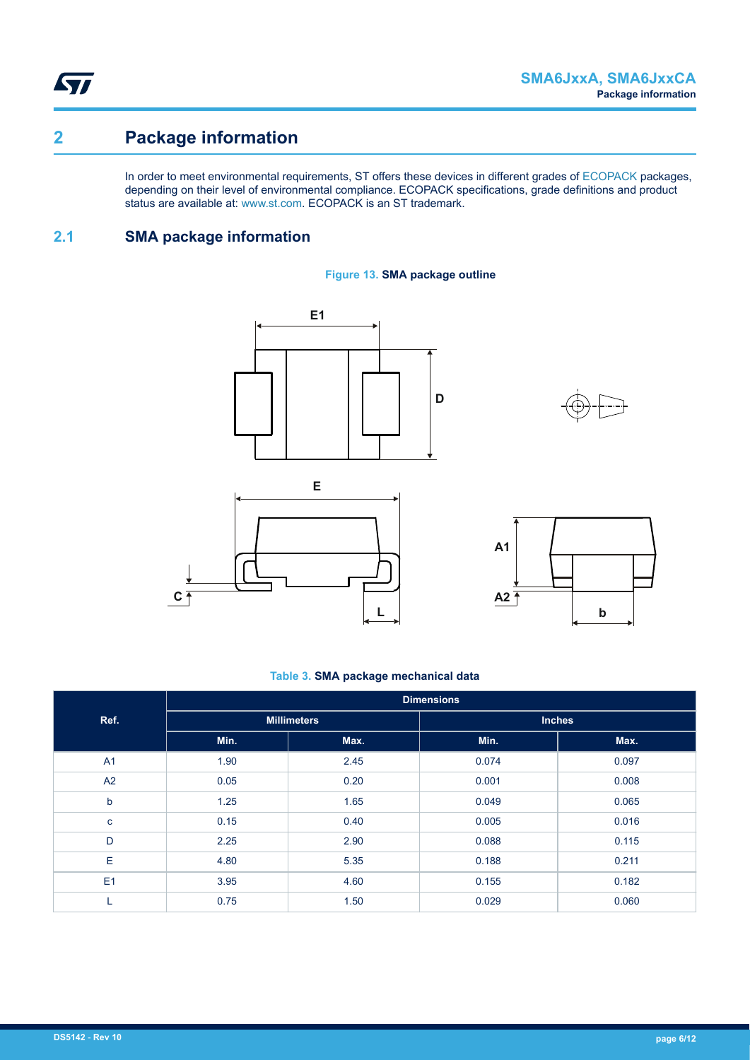**STI** 

# **2 Package information**

In order to meet environmental requirements, ST offers these devices in different grades of [ECOPACK](https://www.st.com/ecopack) packages, depending on their level of environmental compliance. ECOPACK specifications, grade definitions and product status are available at: [www.st.com.](http://www.st.com) ECOPACK is an ST trademark.

# **2.1 SMA package information**











#### **Table 3. SMA package mechanical data**

|                | <b>Dimensions</b> |                    |               |       |  |  |  |  |
|----------------|-------------------|--------------------|---------------|-------|--|--|--|--|
| Ref.           |                   | <b>Millimeters</b> | <b>Inches</b> |       |  |  |  |  |
|                | Min.              | Max.               | Min.          | Max.  |  |  |  |  |
| A <sub>1</sub> | 1.90              | 2.45               | 0.074         | 0.097 |  |  |  |  |
| A2             | 0.05              | 0.20               | 0.001         | 0.008 |  |  |  |  |
| $\mathsf b$    | 1.25              | 1.65               | 0.049         | 0.065 |  |  |  |  |
| $\mathbf{C}$   | 0.15              | 0.40               | 0.005         | 0.016 |  |  |  |  |
| D              | 2.25              | 2.90               | 0.088         | 0.115 |  |  |  |  |
| E              | 4.80              | 5.35               | 0.188         | 0.211 |  |  |  |  |
| E1             | 3.95              | 4.60               | 0.155         | 0.182 |  |  |  |  |
| ┗              | 0.75              | 1.50               | 0.029         | 0.060 |  |  |  |  |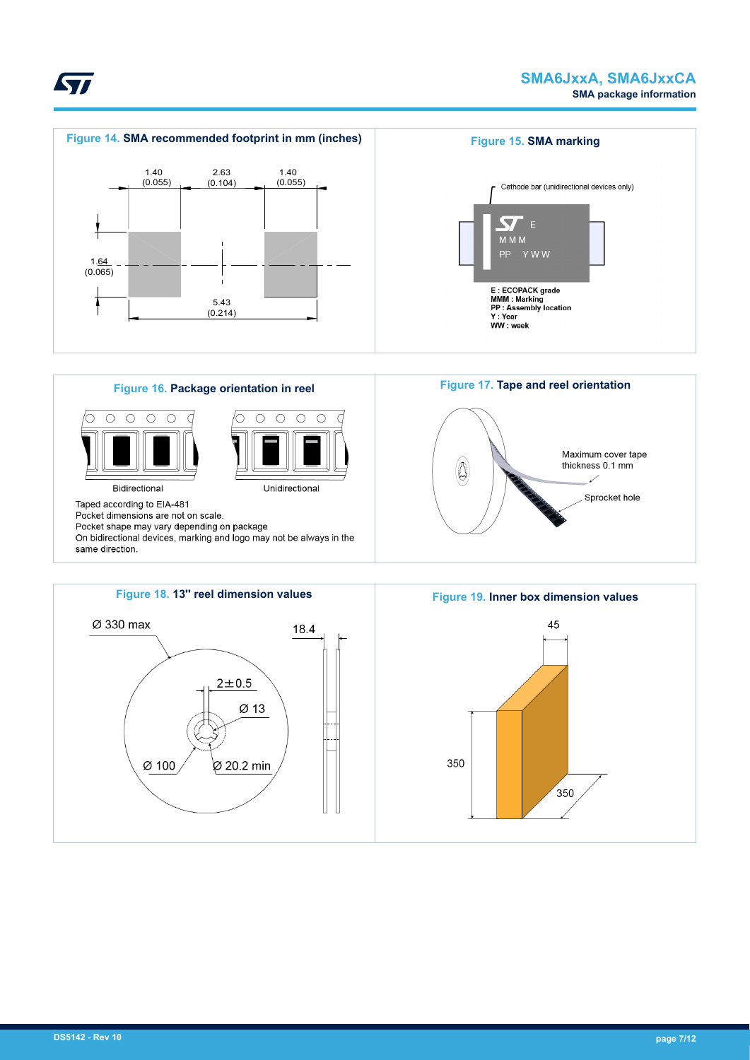

45

350



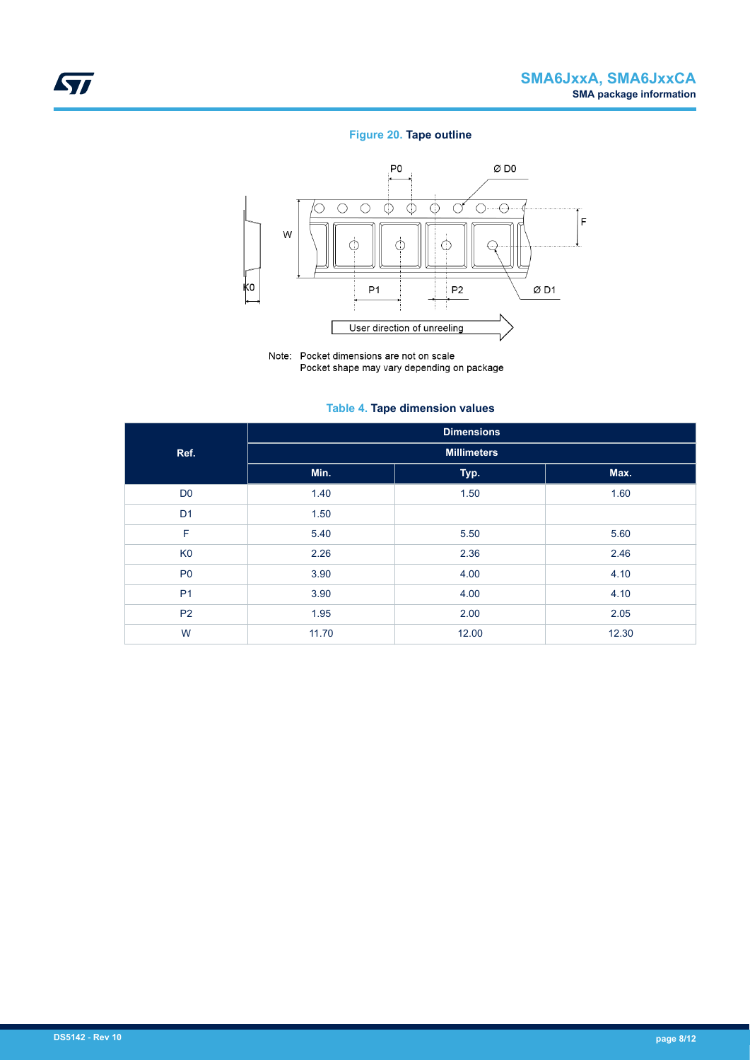## **Figure 20. Tape outline**



Note: Pocket dimensions are not on scale Pocket shape may vary depending on package

### **Table 4. Tape dimension values**

|                | <b>Dimensions</b>  |       |       |  |  |  |  |  |  |
|----------------|--------------------|-------|-------|--|--|--|--|--|--|
| Ref.           | <b>Millimeters</b> |       |       |  |  |  |  |  |  |
|                | Min.               | Typ.  | Max.  |  |  |  |  |  |  |
| D <sub>0</sub> | 1.40               | 1.50  | 1.60  |  |  |  |  |  |  |
| D <sub>1</sub> | 1.50               |       |       |  |  |  |  |  |  |
| F              | 5.40               | 5.50  | 5.60  |  |  |  |  |  |  |
| K <sub>0</sub> | 2.26               | 2.36  | 2.46  |  |  |  |  |  |  |
| P <sub>0</sub> | 3.90               | 4.00  | 4.10  |  |  |  |  |  |  |
| P <sub>1</sub> | 3.90               | 4.00  | 4.10  |  |  |  |  |  |  |
| P <sub>2</sub> | 1.95               | 2.00  | 2.05  |  |  |  |  |  |  |
| W              | 11.70              | 12.00 | 12.30 |  |  |  |  |  |  |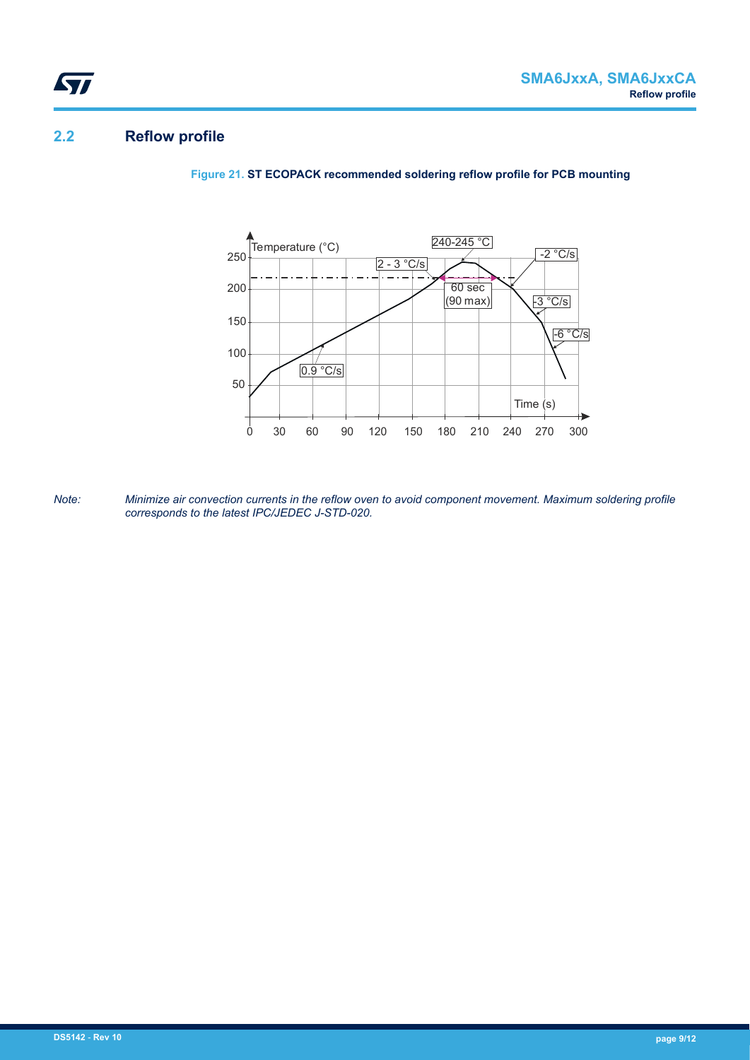# **2.2 Reflow profile**

ST

**Figure 21. ST ECOPACK recommended soldering reflow profile for PCB mounting**



*Note: Minimize air convection currents in the reflow oven to avoid component movement. Maximum soldering profile corresponds to the latest IPC/JEDEC J-STD-020.*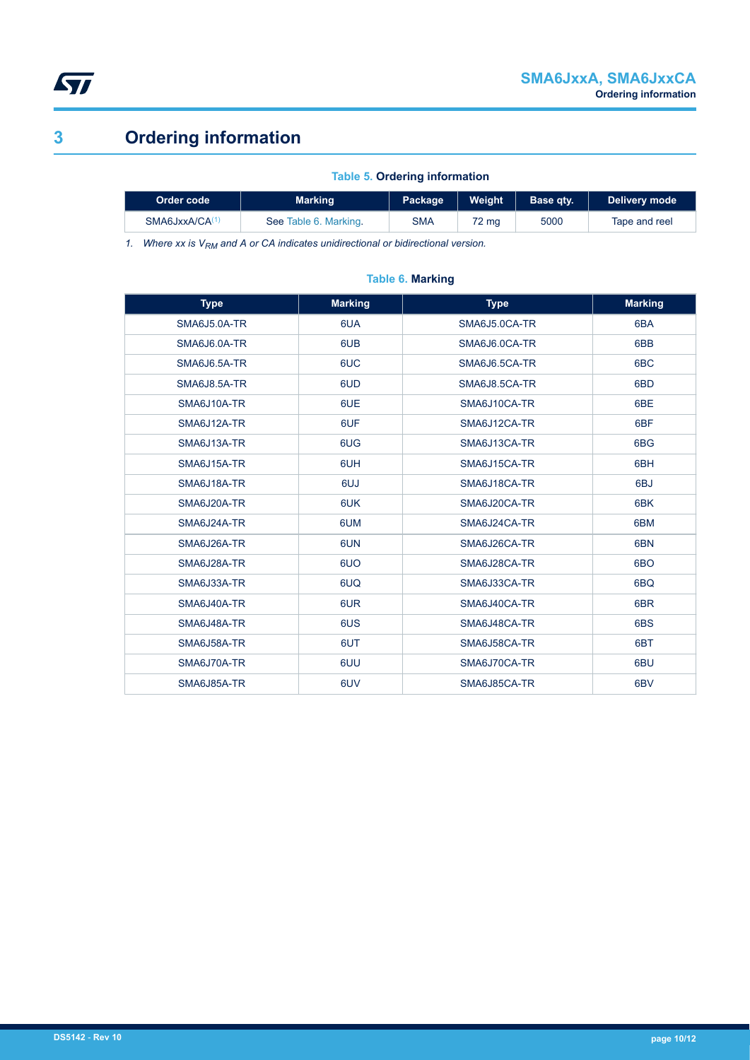<span id="page-9-0"></span>

# **3 Ordering information**

### **Table 5. Ordering information**

| Order code                 | Marking               | Package    | Weight | Base atv. | Delivery mode |
|----------------------------|-----------------------|------------|--------|-----------|---------------|
| SMA6JxxA/CA <sup>(1,</sup> | See Table 6. Marking. | <b>SMA</b> | 72 ma  | 5000      | Tape and reel |

*1. Where xx is VRM and A or CA indicates unidirectional or bidirectional version.*

### **Table 6. Marking**

| <b>Type</b>  | <b>Marking</b> | <b>Type</b>   | <b>Marking</b>  |
|--------------|----------------|---------------|-----------------|
| SMA6J5.0A-TR | 6UA            | SMA6J5.0CA-TR | 6BA             |
| SMA6J6.0A-TR | 6UB            | SMA6J6.0CA-TR | 6BB             |
| SMA6J6.5A-TR | 6UC            | SMA6J6.5CA-TR | 6 <sub>BC</sub> |
| SMA6J8.5A-TR | 6UD            | SMA6J8.5CA-TR | 6BD             |
| SMA6J10A-TR  | 6UE            | SMA6J10CA-TR  | 6BE             |
| SMA6J12A-TR  | 6UF            | SMA6J12CA-TR  | 6 <sub>BF</sub> |
| SMA6J13A-TR  | 6UG            | SMA6J13CA-TR  | 6BG             |
| SMA6J15A-TR  | 6UH            | SMA6J15CA-TR  | 6BH             |
| SMA6J18A-TR  | 6UJ            | SMA6J18CA-TR  | 6BJ             |
| SMA6J20A-TR  | 6UK            | SMA6J20CA-TR  | 6BK             |
| SMA6J24A-TR  | 6UM            | SMA6J24CA-TR  | 6BM             |
| SMA6J26A-TR  | 6UN            | SMA6J26CA-TR  | 6BN             |
| SMA6J28A-TR  | 6UO            | SMA6J28CA-TR  | 6BO             |
| SMA6J33A-TR  | 6UQ            | SMA6J33CA-TR  | 6BQ             |
| SMA6J40A-TR  | 6UR            | SMA6J40CA-TR  | 6BR             |
| SMA6J48A-TR  | 6US            | SMA6J48CA-TR  | 6BS             |
| SMA6J58A-TR  | 6UT            | SMA6J58CA-TR  | 6BT             |
| SMA6J70A-TR  | 6UU            | SMA6J70CA-TR  | 6BU             |
| SMA6J85A-TR  | 6UV            | SMA6J85CA-TR  | 6 <sub>BV</sub> |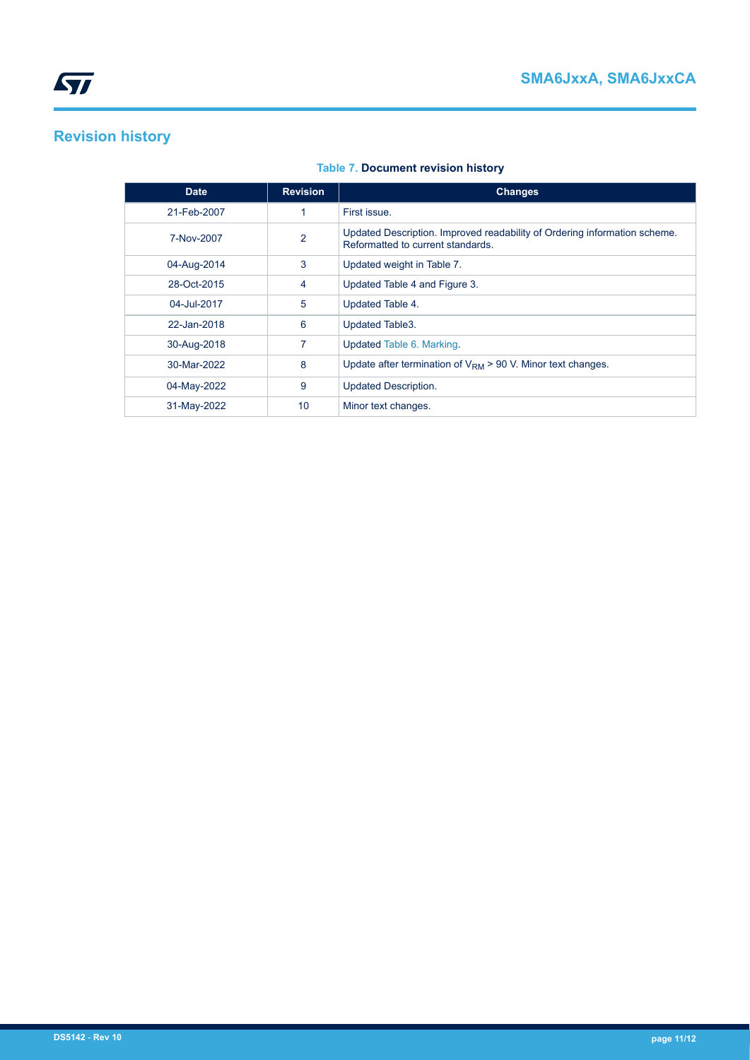# **Revision history**

| <b>Date</b> | <b>Revision</b> | <b>Changes</b>                                                                                                 |
|-------------|-----------------|----------------------------------------------------------------------------------------------------------------|
| 21-Feb-2007 |                 | First issue.                                                                                                   |
| 7-Nov-2007  | $\overline{2}$  | Updated Description. Improved readability of Ordering information scheme.<br>Reformatted to current standards. |
| 04-Aug-2014 | 3               | Updated weight in Table 7.                                                                                     |
| 28-Oct-2015 | 4               | Updated Table 4 and Figure 3.                                                                                  |
| 04-Jul-2017 | 5               | Updated Table 4.                                                                                               |
| 22-Jan-2018 | 6               | Updated Table3.                                                                                                |
| 30-Aug-2018 | 7               | Updated Table 6. Marking.                                                                                      |
| 30-Mar-2022 | 8               | Update after termination of $V_{\text{RM}}$ > 90 V. Minor text changes.                                        |
| 04-May-2022 | 9               | <b>Updated Description.</b>                                                                                    |
| 31-May-2022 | 10              | Minor text changes.                                                                                            |

# **Table 7. Document revision history**